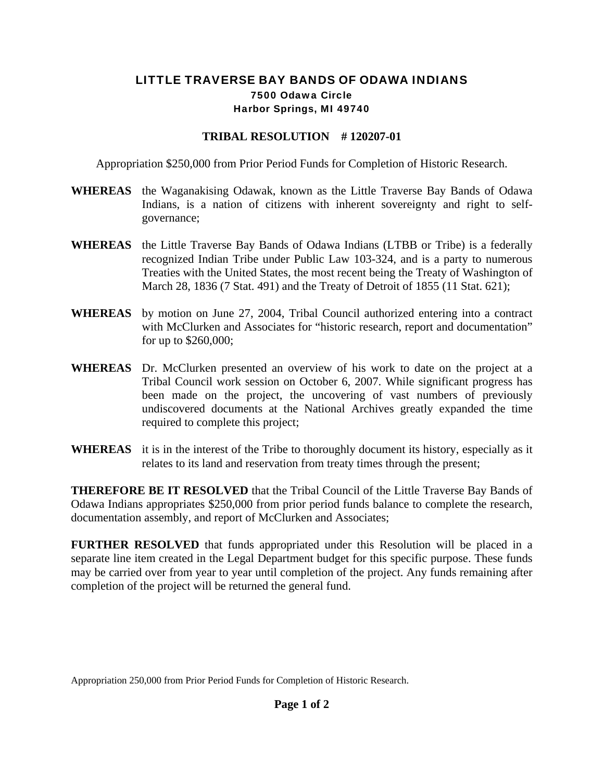## LITTLE TRAVERSE BAY BANDS OF ODAWA INDIANS 7500 Odawa Circle Harbor Springs, MI 49740

## **TRIBAL RESOLUTION # 120207-01**

Appropriation \$250,000 from Prior Period Funds for Completion of Historic Research.

- **WHEREAS** the Waganakising Odawak, known as the Little Traverse Bay Bands of Odawa Indians, is a nation of citizens with inherent sovereignty and right to selfgovernance;
- **WHEREAS** the Little Traverse Bay Bands of Odawa Indians (LTBB or Tribe) is a federally recognized Indian Tribe under Public Law 103-324, and is a party to numerous Treaties with the United States, the most recent being the Treaty of Washington of March 28, 1836 (7 Stat. 491) and the Treaty of Detroit of 1855 (11 Stat. 621);
- **WHEREAS** by motion on June 27, 2004, Tribal Council authorized entering into a contract with McClurken and Associates for "historic research, report and documentation" for up to \$260,000;
- **WHEREAS** Dr. McClurken presented an overview of his work to date on the project at a Tribal Council work session on October 6, 2007. While significant progress has been made on the project, the uncovering of vast numbers of previously undiscovered documents at the National Archives greatly expanded the time required to complete this project;
- **WHEREAS** it is in the interest of the Tribe to thoroughly document its history, especially as it relates to its land and reservation from treaty times through the present;

**THEREFORE BE IT RESOLVED** that the Tribal Council of the Little Traverse Bay Bands of Odawa Indians appropriates \$250,000 from prior period funds balance to complete the research, documentation assembly, and report of McClurken and Associates;

**FURTHER RESOLVED** that funds appropriated under this Resolution will be placed in a separate line item created in the Legal Department budget for this specific purpose. These funds may be carried over from year to year until completion of the project. Any funds remaining after completion of the project will be returned the general fund.

Appropriation 250,000 from Prior Period Funds for Completion of Historic Research.